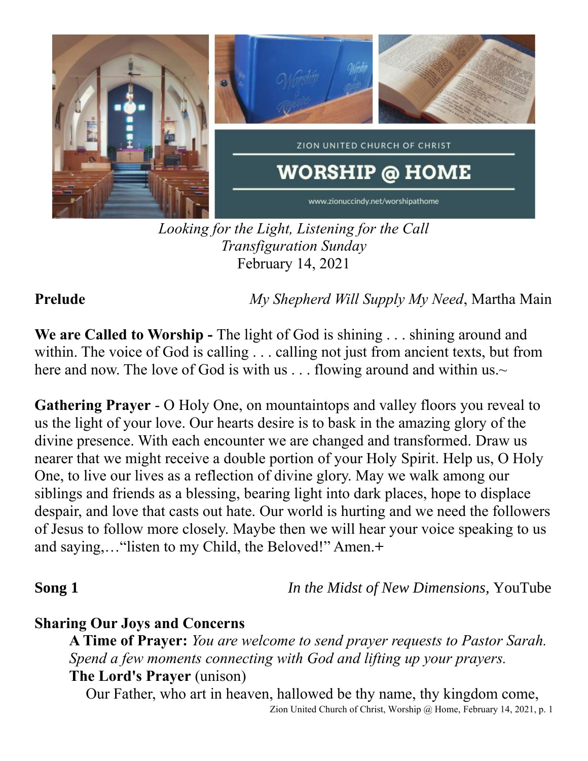

*Looking for the Light, Listening for the Call Transfiguration Sunday* February 14, 2021

**Prelude** *My Shepherd Will Supply My Need*, Martha Main

**We are Called to Worship -** The light of God is shining . . . shining around and within. The voice of God is calling . . . calling not just from ancient texts, but from here and now. The love of God is with us  $\dots$  flowing around and within us. $\sim$ 

**Gathering Prayer** - O Holy One, on mountaintops and valley floors you reveal to us the light of your love. Our hearts desire is to bask in the amazing glory of the divine presence. With each encounter we are changed and transformed. Draw us nearer that we might receive a double portion of your Holy Spirit. Help us, O Holy One, to live our lives as a reflection of divine glory. May we walk among our siblings and friends as a blessing, bearing light into dark places, hope to displace despair, and love that casts out hate. Our world is hurting and we need the followers of Jesus to follow more closely. Maybe then we will hear your voice speaking to us and saying,…"listen to my Child, the Beloved!" Amen.**+**

**Song 1** *In the Midst of New Dimensions, YouTube* 

### **Sharing Our Joys and Concerns**

**A Time of Prayer:** *You are welcome to send prayer requests to Pastor Sarah. Spend a few moments connecting with God and lifting up your prayers.* **The Lord's Prayer** (unison)

Zion United Church of Christ, Worship @ Home, February 14, 2021, p. 1 Our Father, who art in heaven, hallowed be thy name, thy kingdom come,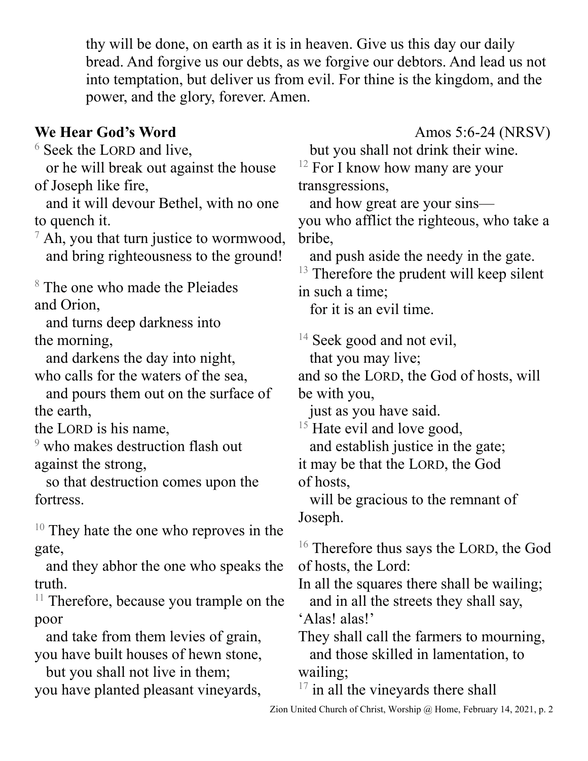thy will be done, on earth as it is in heaven. Give us this day our daily bread. And forgive us our debts, as we forgive our debtors. And lead us not into temptation, but deliver us from evil. For thine is the kingdom, and the power, and the glory, forever. Amen.

# **We Hear God's Word** Amos 5:6-24 (NRSV)

<sup>6</sup> Seek the LORD and live,

 or he will break out against the house of Joseph like fire,

 and it will devour Bethel, with no one to quench it.

 $\sqrt{7}$  Ah, you that turn justice to wormwood, and bring righteousness to the ground!

<sup>8</sup> The one who made the Pleiades and Orion,

 and turns deep darkness into the morning,

 and darkens the day into night, who calls for the waters of the sea,

 and pours them out on the surface of the earth,

the LORD is his name,

<sup>9</sup> who makes destruction flash out against the strong,

 so that destruction comes upon the fortress.

<sup>10</sup> They hate the one who reproves in the gate,

 and they abhor the one who speaks the truth.

 $11$  Therefore, because you trample on the poor

 and take from them levies of grain, you have built houses of hewn stone,

 but you shall not live in them; you have planted pleasant vineyards,

but you shall not drink their wine.

 $12$  For I know how many are your transgressions,

 and how great are your sins you who afflict the righteous, who take a bribe,

and push aside the needy in the gate.

 $13$  Therefore the prudent will keep silent in such a time;

for it is an evil time.

 $14$  Seek good and not evil,

that you may live;

and so the LORD, the God of hosts, will be with you,

just as you have said.

<sup>15</sup> Hate evil and love good,

 and establish justice in the gate; it may be that the LORD, the God of hosts,

will be gracious to the remnant of Joseph.

<sup>16</sup> Therefore thus says the LORD, the God of hosts, the Lord:

In all the squares there shall be wailing; and in all the streets they shall say,

'Alas! alas!'

They shall call the farmers to mourning, and those skilled in lamentation, to wailing;

 $17$  in all the vineyards there shall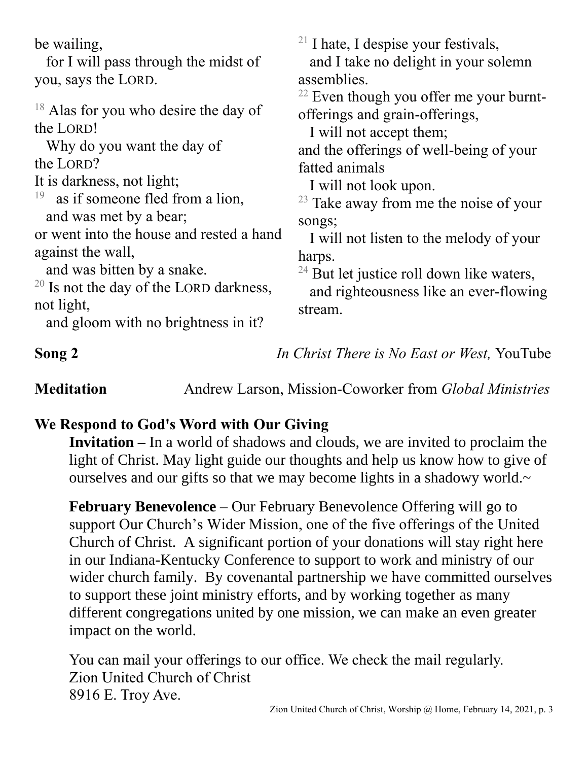be wailing,

 for I will pass through the midst of you, says the LORD.

<sup>18</sup> Alas for you who desire the day of the LORD!

 Why do you want the day of the LORD?

It is darkness, not light;

19 as if someone fled from a lion, and was met by a bear;

or went into the house and rested a hand against the wall,

and was bitten by a snake.

 $20$  Is not the day of the LORD darkness, not light,

and gloom with no brightness in it?

 $21$  I hate, I despise your festivals, and I take no delight in your solemn assemblies.

 $22$  Even though you offer me your burntofferings and grain-offerings,

I will not accept them;

and the offerings of well-being of your fatted animals

I will not look upon.

 $23$  Take away from me the noise of your songs;

 I will not listen to the melody of your harps.

 $24$  But let justice roll down like waters,

 and righteousness like an ever-flowing stream.

**Song 2** *In Christ There is No East or West,* YouTube

**Meditation** Andrew Larson, Mission-Coworker from *Global Ministries*

# **We Respond to God's Word with Our Giving**

**Invitation –** In a world of shadows and clouds, we are invited to proclaim the light of Christ. May light guide our thoughts and help us know how to give of ourselves and our gifts so that we may become lights in a shadowy world.~

**February Benevolence** – Our February Benevolence Offering will go to support Our Church's Wider Mission, one of the five offerings of the United Church of Christ. A significant portion of your donations will stay right here in our Indiana-Kentucky Conference to support to work and ministry of our wider church family. By covenantal partnership we have committed ourselves to support these joint ministry efforts, and by working together as many different congregations united by one mission, we can make an even greater impact on the world.

You can mail your offerings to our office. We check the mail regularly. Zion United Church of Christ 8916 E. Troy Ave.